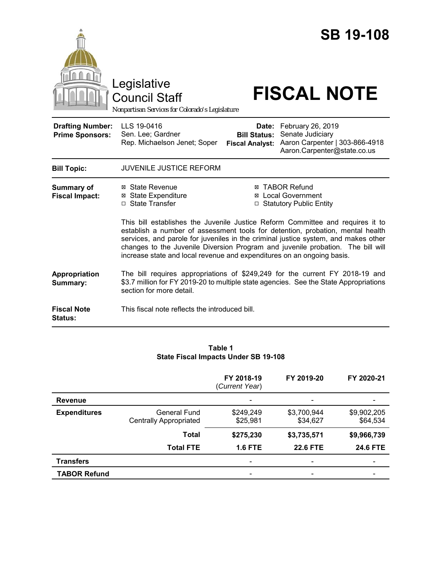

#### **Table 1 State Fiscal Impacts Under SB 19-108**

|                     |                                               | FY 2018-19<br>(Current Year) | FY 2019-20              | FY 2020-21              |
|---------------------|-----------------------------------------------|------------------------------|-------------------------|-------------------------|
| <b>Revenue</b>      |                                               |                              |                         |                         |
| <b>Expenditures</b> | General Fund<br><b>Centrally Appropriated</b> | \$249,249<br>\$25,981        | \$3,700,944<br>\$34,627 | \$9,902,205<br>\$64,534 |
|                     | Total                                         | \$275,230                    | \$3,735,571             | \$9,966,739             |
|                     | <b>Total FTE</b>                              | <b>1.6 FTE</b>               | <b>22.6 FTE</b>         | <b>24.6 FTE</b>         |
| <b>Transfers</b>    |                                               |                              | ۰                       |                         |
| <b>TABOR Refund</b> |                                               |                              |                         |                         |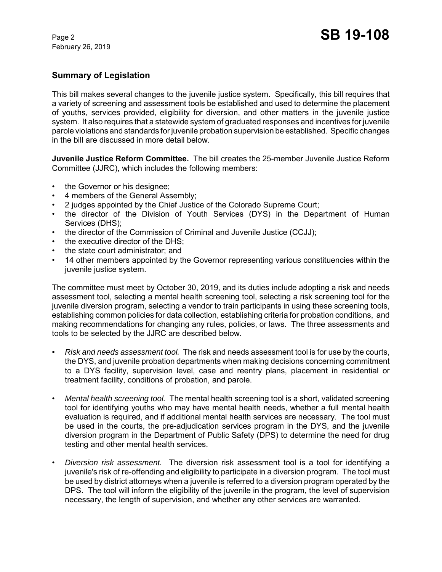## **Summary of Legislation**

This bill makes several changes to the juvenile justice system. Specifically, this bill requires that a variety of screening and assessment tools be established and used to determine the placement of youths, services provided, eligibility for diversion, and other matters in the juvenile justice system. It also requires that a statewide system of graduated responses and incentives for juvenile parole violations and standards for juvenile probation supervision be established. Specific changes in the bill are discussed in more detail below.

**Juvenile Justice Reform Committee.** The bill creates the 25-member Juvenile Justice Reform Committee (JJRC), which includes the following members:

- the Governor or his designee;
- 4 members of the General Assembly;
- 2 judges appointed by the Chief Justice of the Colorado Supreme Court;
- the director of the Division of Youth Services (DYS) in the Department of Human Services (DHS);
- the director of the Commission of Criminal and Juvenile Justice (CCJJ);
- the executive director of the DHS:
- the state court administrator; and
- 14 other members appointed by the Governor representing various constituencies within the juvenile justice system.

The committee must meet by October 30, 2019, and its duties include adopting a risk and needs assessment tool, selecting a mental health screening tool, selecting a risk screening tool for the juvenile diversion program, selecting a vendor to train participants in using these screening tools, establishing common policies for data collection, establishing criteria for probation conditions, and making recommendations for changing any rules, policies, or laws. The three assessments and tools to be selected by the JJRC are described below.

- *• Risk and needs assessment tool.*The risk and needs assessment tool is for use by the courts, the DYS, and juvenile probation departments when making decisions concerning commitment to a DYS facility, supervision level, case and reentry plans, placement in residential or treatment facility, conditions of probation, and parole.
- *Mental health screening tool.*The mental health screening tool is a short, validated screening tool for identifying youths who may have mental health needs, whether a full mental health evaluation is required, and if additional mental health services are necessary. The tool must be used in the courts, the pre-adjudication services program in the DYS, and the juvenile diversion program in the Department of Public Safety (DPS) to determine the need for drug testing and other mental health services.
- *Diversion risk assessment.* The diversion risk assessment tool is a tool for identifying a juvenile's risk of re-offending and eligibility to participate in a diversion program. The tool must be used by district attorneys when a juvenile is referred to a diversion program operated by the DPS. The tool will inform the eligibility of the juvenile in the program, the level of supervision necessary, the length of supervision, and whether any other services are warranted.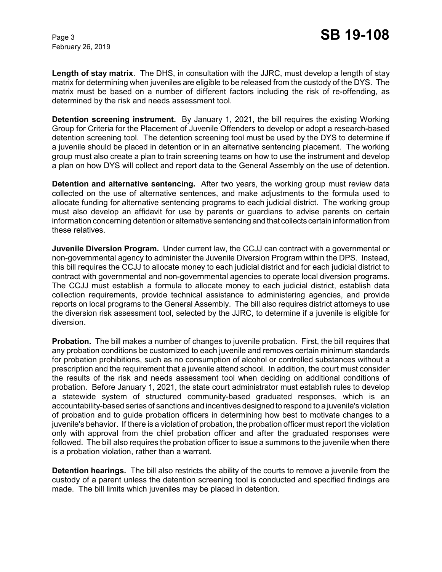**Length of stay matrix**. The DHS, in consultation with the JJRC, must develop a length of stay matrix for determining when juveniles are eligible to be released from the custody of the DYS. The matrix must be based on a number of different factors including the risk of re-offending, as determined by the risk and needs assessment tool.

**Detention screening instrument.** By January 1, 2021, the bill requires the existing Working Group for Criteria for the Placement of Juvenile Offenders to develop or adopt a research-based detention screening tool. The detention screening tool must be used by the DYS to determine if a juvenile should be placed in detention or in an alternative sentencing placement. The working group must also create a plan to train screening teams on how to use the instrument and develop a plan on how DYS will collect and report data to the General Assembly on the use of detention.

**Detention and alternative sentencing.** After two years, the working group must review data collected on the use of alternative sentences, and make adjustments to the formula used to allocate funding for alternative sentencing programs to each judicial district. The working group must also develop an affidavit for use by parents or guardians to advise parents on certain information concerning detention or alternative sentencing and that collects certain information from these relatives.

**Juvenile Diversion Program.** Under current law, the CCJJ can contract with a governmental or non-governmental agency to administer the Juvenile Diversion Program within the DPS. Instead, this bill requires the CCJJ to allocate money to each judicial district and for each judicial district to contract with governmental and non-governmental agencies to operate local diversion programs. The CCJJ must establish a formula to allocate money to each judicial district, establish data collection requirements, provide technical assistance to administering agencies, and provide reports on local programs to the General Assembly. The bill also requires district attorneys to use the diversion risk assessment tool, selected by the JJRC, to determine if a juvenile is eligible for diversion.

**Probation.** The bill makes a number of changes to juvenile probation. First, the bill requires that any probation conditions be customized to each juvenile and removes certain minimum standards for probation prohibitions, such as no consumption of alcohol or controlled substances without a prescription and the requirement that a juvenile attend school. In addition, the court must consider the results of the risk and needs assessment tool when deciding on additional conditions of probation. Before January 1, 2021, the state court administrator must establish rules to develop a statewide system of structured community-based graduated responses, which is an accountability-based series of sanctions and incentives designed to respond to a juvenile's violation of probation and to guide probation officers in determining how best to motivate changes to a juvenile's behavior. If there is a violation of probation, the probation officer must report the violation only with approval from the chief probation officer and after the graduated responses were followed. The bill also requires the probation officer to issue a summons to the juvenile when there is a probation violation, rather than a warrant.

**Detention hearings.** The bill also restricts the ability of the courts to remove a juvenile from the custody of a parent unless the detention screening tool is conducted and specified findings are made. The bill limits which juveniles may be placed in detention.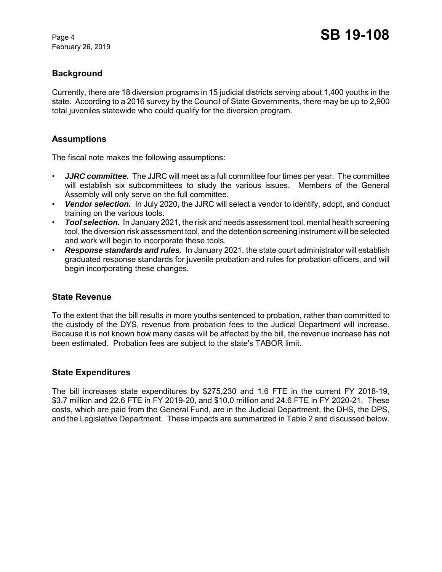# **Background**

Currently, there are 18 diversion programs in 15 judicial districts serving about 1,400 youths in the state. According to a 2016 survey by the Council of State Governments, there may be up to 2,900 total juveniles statewide who could qualify for the diversion program.

## **Assumptions**

The fiscal note makes the following assumptions:

- *JJRC committee.* The JJRC will meet as a full committee four times per year. The committee will establish six subcommittees to study the various issues. Members of the General Assembly will only serve on the full committee.
- *Vendor selection.* In July 2020, the JJRC will select a vendor to identify, adopt, and conduct training on the various tools.
- *Tool selection.* In January 2021, the risk and needs assessment tool, mental health screening tool, the diversion risk assessment tool, and the detention screening instrument will be selected and work will begin to incorporate these tools.
- *Response standards and rules.* In January 2021, the state court administrator will establish graduated response standards for juvenile probation and rules for probation officers, and will begin incorporating these changes.

## **State Revenue**

To the extent that the bill results in more youths sentenced to probation, rather than committed to the custody of the DYS, revenue from probation fees to the Judical Department will increase. Because it is not known how many cases will be affected by the bill, the revenue increase has not been estimated. Probation fees are subject to the state's TABOR limit.

## **State Expenditures**

The bill increases state expenditures by \$275,230 and 1.6 FTE in the current FY 2018-19, \$3.7 million and 22.6 FTE in FY 2019-20, and \$10.0 million and 24.6 FTE in FY 2020-21. These costs, which are paid from the General Fund, are in the Judicial Department, the DHS, the DPS, and the Legislative Department. These impacts are summarized in Table 2 and discussed below.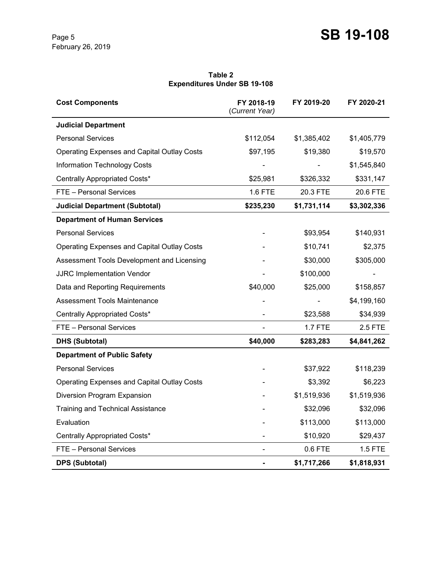#### **Table 2 Expenditures Under SB 19-108**

| <b>Cost Components</b>                             | FY 2018-19<br>(Current Year) | FY 2019-20     | FY 2020-21  |
|----------------------------------------------------|------------------------------|----------------|-------------|
| <b>Judicial Department</b>                         |                              |                |             |
| <b>Personal Services</b>                           | \$112,054                    | \$1,385,402    | \$1,405,779 |
| <b>Operating Expenses and Capital Outlay Costs</b> | \$97,195                     | \$19,380       | \$19,570    |
| <b>Information Technology Costs</b>                |                              |                | \$1,545,840 |
| Centrally Appropriated Costs*                      | \$25,981                     | \$326,332      | \$331,147   |
| FTE - Personal Services                            | 1.6 FTE                      | 20.3 FTE       | 20.6 FTE    |
| <b>Judicial Department (Subtotal)</b>              | \$235,230                    | \$1,731,114    | \$3,302,336 |
| <b>Department of Human Services</b>                |                              |                |             |
| <b>Personal Services</b>                           |                              | \$93,954       | \$140,931   |
| <b>Operating Expenses and Capital Outlay Costs</b> |                              | \$10,741       | \$2,375     |
| Assessment Tools Development and Licensing         |                              | \$30,000       | \$305,000   |
| <b>JJRC Implementation Vendor</b>                  |                              | \$100,000      |             |
| Data and Reporting Requirements                    | \$40,000                     | \$25,000       | \$158,857   |
| <b>Assessment Tools Maintenance</b>                |                              |                | \$4,199,160 |
| Centrally Appropriated Costs*                      |                              | \$23,588       | \$34,939    |
| FTE - Personal Services                            |                              | <b>1.7 FTE</b> | 2.5 FTE     |
| <b>DHS (Subtotal)</b>                              | \$40,000                     | \$283,283      | \$4,841,262 |
| <b>Department of Public Safety</b>                 |                              |                |             |
| <b>Personal Services</b>                           |                              | \$37,922       | \$118,239   |
| <b>Operating Expenses and Capital Outlay Costs</b> |                              | \$3,392        | \$6,223     |
| Diversion Program Expansion                        |                              | \$1,519,936    | \$1,519,936 |
| <b>Training and Technical Assistance</b>           |                              | \$32,096       | \$32,096    |
| Evaluation                                         |                              | \$113,000      | \$113,000   |
| Centrally Appropriated Costs*                      |                              | \$10,920       | \$29,437    |
| FTE - Personal Services                            |                              | $0.6$ FTE      | 1.5 FTE     |
| <b>DPS (Subtotal)</b>                              |                              | \$1,717,266    | \$1,818,931 |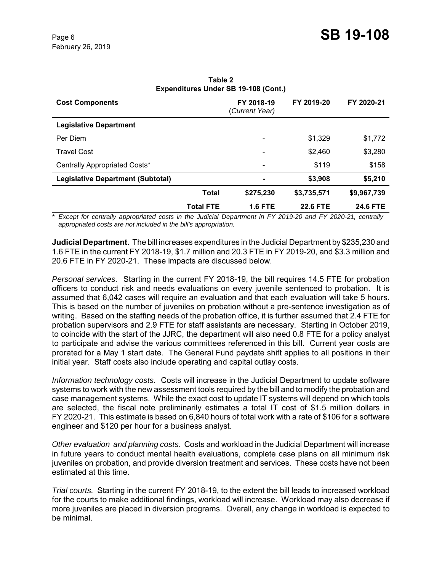| FY 2018-19<br>(Current Year) | FY 2019-20                       | FY 2020-21  |  |  |  |
|------------------------------|----------------------------------|-------------|--|--|--|
|                              |                                  |             |  |  |  |
|                              | \$1,329                          | \$1,772     |  |  |  |
|                              | \$2,460                          | \$3,280     |  |  |  |
| $\overline{\phantom{a}}$     | \$119                            | \$158       |  |  |  |
| $\blacksquare$               | \$3,908                          | \$5,210     |  |  |  |
| \$275,230                    | \$3,735,571                      | \$9,967,739 |  |  |  |
| <b>1.6 FTE</b>               | <b>22.6 FTE</b>                  | 24.6 FTE    |  |  |  |
|                              | <b>Total</b><br><b>Total FTE</b> |             |  |  |  |

**Table 2 Expenditures Under SB 19-108 (Cont.)**

*\* Except for centrally appropriated costs in the Judicial Department in FY 2019-20 and FY 2020-21, centrally appropriated costs are not included in the bill's appropriation.* 

**Judicial Department.** The bill increases expenditures in the Judicial Department by \$235,230 and 1.6 FTE in the current FY 2018-19, \$1.7 million and 20.3 FTE in FY 2019-20, and \$3.3 million and 20.6 FTE in FY 2020-21. These impacts are discussed below.

*Personal services.* Starting in the current FY 2018-19, the bill requires 14.5 FTE for probation officers to conduct risk and needs evaluations on every juvenile sentenced to probation. It is assumed that 6,042 cases will require an evaluation and that each evaluation will take 5 hours. This is based on the number of juveniles on probation without a pre-sentence investigation as of writing. Based on the staffing needs of the probation office, it is further assumed that 2.4 FTE for probation supervisors and 2.9 FTE for staff assistants are necessary. Starting in October 2019, to coincide with the start of the JJRC, the department will also need 0.8 FTE for a policy analyst to participate and advise the various committees referenced in this bill. Current year costs are prorated for a May 1 start date. The General Fund paydate shift applies to all positions in their initial year. Staff costs also include operating and capital outlay costs.

*Information technology costs.* Costs will increase in the Judicial Department to update software systems to work with the new assessment tools required by the bill and to modify the probation and case management systems. While the exact cost to update IT systems will depend on which tools are selected, the fiscal note preliminarily estimates a total IT cost of \$1.5 million dollars in FY 2020-21. This estimate is based on 6,840 hours of total work with a rate of \$106 for a software engineer and \$120 per hour for a business analyst.

*Other evaluation and planning costs.* Costs and workload in the Judicial Department will increase in future years to conduct mental health evaluations, complete case plans on all minimum risk juveniles on probation, and provide diversion treatment and services. These costs have not been estimated at this time.

*Trial courts.* Starting in the current FY 2018-19, to the extent the bill leads to increased workload for the courts to make additional findings, workload will increase. Workload may also decrease if more juveniles are placed in diversion programs. Overall, any change in workload is expected to be minimal.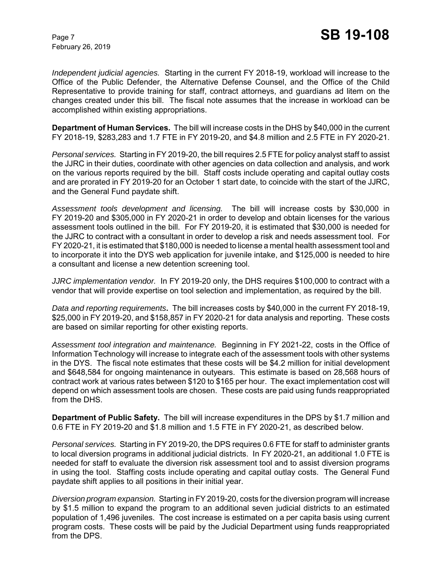*Independent judicial agencies.* Starting in the current FY 2018-19, workload will increase to the Office of the Public Defender, the Alternative Defense Counsel, and the Office of the Child Representative to provide training for staff, contract attorneys, and guardians ad litem on the changes created under this bill. The fiscal note assumes that the increase in workload can be accomplished within existing appropriations.

**Department of Human Services.** The bill will increase costs in the DHS by \$40,000 in the current FY 2018-19, \$283,283 and 1.7 FTE in FY 2019-20, and \$4.8 million and 2.5 FTE in FY 2020-21.

*Personal services.* Starting in FY 2019-20, the bill requires 2.5 FTE for policy analyst staff to assist the JJRC in their duties, coordinate with other agencies on data collection and analysis, and work on the various reports required by the bill. Staff costs include operating and capital outlay costs and are prorated in FY 2019-20 for an October 1 start date, to coincide with the start of the JJRC, and the General Fund paydate shift.

*Assessment tools development and licensing.* The bill will increase costs by \$30,000 in FY 2019-20 and \$305,000 in FY 2020-21 in order to develop and obtain licenses for the various assessment tools outlined in the bill. For FY 2019-20, it is estimated that \$30,000 is needed for the JJRC to contract with a consultant in order to develop a risk and needs assessment tool. For FY 2020-21, it is estimated that \$180,000 is needed to license a mental health assessment tool and to incorporate it into the DYS web application for juvenile intake, and \$125,000 is needed to hire a consultant and license a new detention screening tool.

*JJRC implementation vendor.* In FY 2019-20 only, the DHS requires \$100,000 to contract with a vendor that will provide expertise on tool selection and implementation, as required by the bill.

*Data and reporting requirements***.** The bill increases costs by \$40,000 in the current FY 2018-19, \$25,000 in FY 2019-20, and \$158,857 in FY 2020-21 for data analysis and reporting.These costs are based on similar reporting for other existing reports.

*Assessment tool integration and maintenance.* Beginning in FY 2021-22, costs in the Office of Information Technology will increase to integrate each of the assessment tools with other systems in the DYS. The fiscal note estimates that these costs will be \$4.2 million for initial development and \$648,584 for ongoing maintenance in outyears. This estimate is based on 28,568 hours of contract work at various rates between \$120 to \$165 per hour. The exact implementation cost will depend on which assessment tools are chosen. These costs are paid using funds reappropriated from the DHS.

**Department of Public Safety.** The bill will increase expenditures in the DPS by \$1.7 million and 0.6 FTE in FY 2019-20 and \$1.8 million and 1.5 FTE in FY 2020-21, as described below.

*Personal services.* Starting in FY 2019-20, the DPS requires 0.6 FTE for staff to administer grants to local diversion programs in additional judicial districts. In FY 2020-21, an additional 1.0 FTE is needed for staff to evaluate the diversion risk assessment tool and to assist diversion programs in using the tool. Staffing costs include operating and capital outlay costs. The General Fund paydate shift applies to all positions in their initial year.

*Diversion program expansion.* Starting in FY 2019-20, costs for the diversion program will increase by \$1.5 million to expand the program to an additional seven judicial districts to an estimated population of 1,496 juveniles. The cost increase is estimated on a per capita basis using current program costs. These costs will be paid by the Judicial Department using funds reappropriated from the DPS.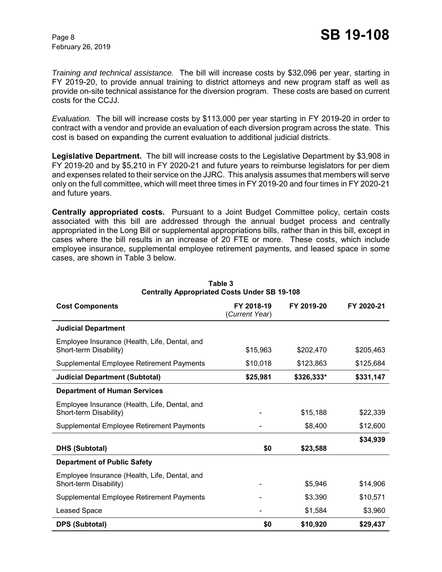*Training and technical assistance.* The bill will increase costs by \$32,096 per year, starting in FY 2019-20, to provide annual training to district attorneys and new program staff as well as provide on-site technical assistance for the diversion program. These costs are based on current costs for the CCJJ.

*Evaluation.* The bill will increase costs by \$113,000 per year starting in FY 2019-20 in order to contract with a vendor and provide an evaluation of each diversion program across the state. This cost is based on expanding the current evaluation to additional judicial districts.

**Legislative Department.** The bill will increase costs to the Legislative Department by \$3,908 in FY 2019-20 and by \$5,210 in FY 2020-21 and future years to reimburse legislators for per diem and expenses related to their service on the JJRC. This analysis assumes that members will serve only on the full committee, which will meet three times in FY 2019-20 and four times in FY 2020-21 and future years.

**Centrally appropriated costs.** Pursuant to a Joint Budget Committee policy, certain costs associated with this bill are addressed through the annual budget process and centrally appropriated in the Long Bill or supplemental appropriations bills, rather than in this bill, except in cases where the bill results in an increase of 20 FTE or more. These costs, which include employee insurance, supplemental employee retirement payments, and leased space in some cases, are shown in Table 3 below.

| <b>Cost Components</b>                                                  | FY 2018-19<br>(Current Year) | FY 2019-20 | FY 2020-21 |
|-------------------------------------------------------------------------|------------------------------|------------|------------|
| <b>Judicial Department</b>                                              |                              |            |            |
| Employee Insurance (Health, Life, Dental, and<br>Short-term Disability) | \$15,963                     | \$202,470  | \$205,463  |
| Supplemental Employee Retirement Payments                               | \$10,018                     | \$123,863  | \$125,684  |
| <b>Judicial Department (Subtotal)</b>                                   | \$25,981                     | \$326,333* | \$331,147  |
| <b>Department of Human Services</b>                                     |                              |            |            |
| Employee Insurance (Health, Life, Dental, and<br>Short-term Disability) |                              | \$15,188   | \$22,339   |
| Supplemental Employee Retirement Payments                               |                              | \$8,400    | \$12,600   |
| <b>DHS (Subtotal)</b>                                                   | \$0                          | \$23,588   | \$34,939   |
| <b>Department of Public Safety</b>                                      |                              |            |            |
| Employee Insurance (Health, Life, Dental, and<br>Short-term Disability) |                              | \$5,946    | \$14,906   |
| Supplemental Employee Retirement Payments                               |                              | \$3,390    | \$10,571   |
| Leased Space                                                            |                              | \$1,584    | \$3,960    |
| <b>DPS (Subtotal)</b>                                                   | \$0                          | \$10,920   | \$29,437   |

#### **Table 3 Centrally Appropriated Costs Under SB 19-108**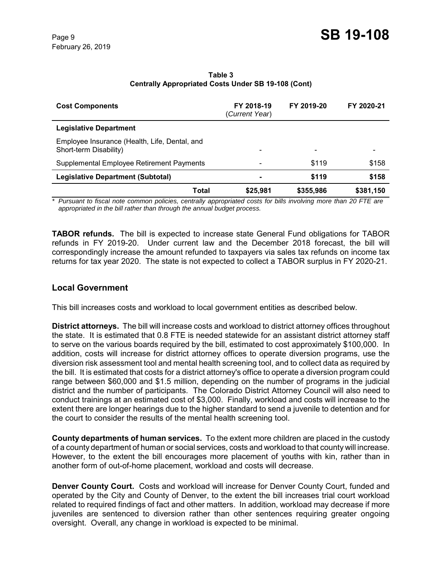| <b>Cost Components</b>                                                  | FY 2018-19<br>(Current Year) | FY 2019-20 | FY 2020-21 |
|-------------------------------------------------------------------------|------------------------------|------------|------------|
| <b>Legislative Department</b>                                           |                              |            |            |
| Employee Insurance (Health, Life, Dental, and<br>Short-term Disability) |                              |            |            |
| Supplemental Employee Retirement Payments                               |                              | \$119      | \$158      |
| <b>Legislative Department (Subtotal)</b>                                |                              | \$119      | \$158      |
| <b>Total</b>                                                            | \$25,981                     | \$355,986  | \$381,150  |

**Table 3 Centrally Appropriated Costs Under SB 19-108 (Cont)**

*\* Pursuant to fiscal note common policies, centrally appropriated costs for bills involving more than 20 FTE are appropriated in the bill rather than through the annual budget process.*

**TABOR refunds.** The bill is expected to increase state General Fund obligations for TABOR refunds in FY 2019-20. Under current law and the December 2018 forecast, the bill will correspondingly increase the amount refunded to taxpayers via sales tax refunds on income tax returns for tax year 2020. The state is not expected to collect a TABOR surplus in FY 2020-21.

## **Local Government**

This bill increases costs and workload to local government entities as described below.

**District attorneys.** The bill will increase costs and workload to district attorney offices throughout the state. It is estimated that 0.8 FTE is needed statewide for an assistant district attorney staff to serve on the various boards required by the bill, estimated to cost approximately \$100,000. In addition, costs will increase for district attorney offices to operate diversion programs, use the diversion risk assessment tool and mental health screening tool, and to collect data as required by the bill. It is estimated that costs for a district attorney's office to operate a diversion program could range between \$60,000 and \$1.5 million, depending on the number of programs in the judicial district and the number of participants. The Colorado District Attorney Council will also need to conduct trainings at an estimated cost of \$3,000. Finally, workload and costs will increase to the extent there are longer hearings due to the higher standard to send a juvenile to detention and for the court to consider the results of the mental health screening tool.

**County departments of human services.** To the extent more children are placed in the custody of a county department of human or social services, costs and workload to that county will increase. However, to the extent the bill encourages more placement of youths with kin, rather than in another form of out-of-home placement, workload and costs will decrease.

**Denver County Court.** Costs and workload will increase for Denver County Court, funded and operated by the City and County of Denver, to the extent the bill increases trial court workload related to required findings of fact and other matters. In addition, workload may decrease if more juveniles are sentenced to diversion rather than other sentences requiring greater ongoing oversight. Overall, any change in workload is expected to be minimal.